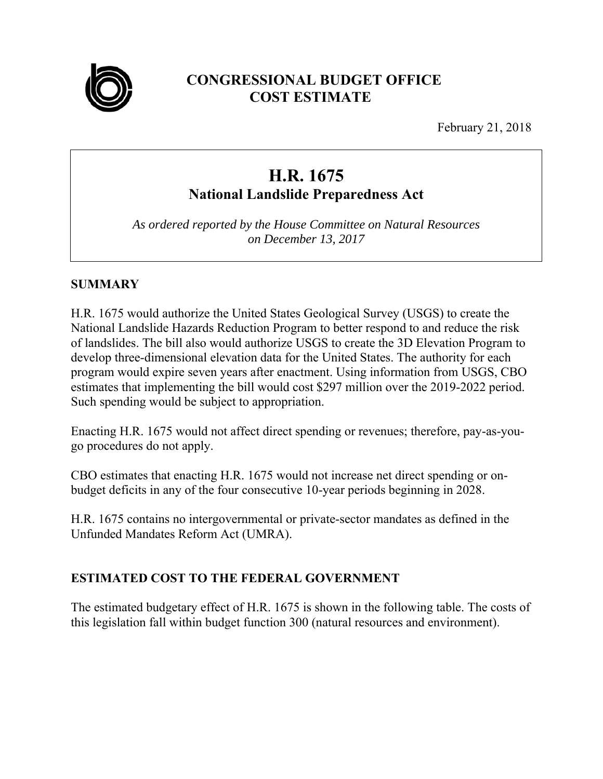

# **CONGRESSIONAL BUDGET OFFICE COST ESTIMATE**

February 21, 2018

# **H.R. 1675 National Landslide Preparedness Act**

*As ordered reported by the House Committee on Natural Resources on December 13, 2017* 

# **SUMMARY**

H.R. 1675 would authorize the United States Geological Survey (USGS) to create the National Landslide Hazards Reduction Program to better respond to and reduce the risk of landslides. The bill also would authorize USGS to create the 3D Elevation Program to develop three-dimensional elevation data for the United States. The authority for each program would expire seven years after enactment. Using information from USGS, CBO estimates that implementing the bill would cost \$297 million over the 2019-2022 period. Such spending would be subject to appropriation.

Enacting H.R. 1675 would not affect direct spending or revenues; therefore, pay-as-yougo procedures do not apply.

CBO estimates that enacting H.R. 1675 would not increase net direct spending or onbudget deficits in any of the four consecutive 10-year periods beginning in 2028.

H.R. 1675 contains no intergovernmental or private-sector mandates as defined in the Unfunded Mandates Reform Act (UMRA).

# **ESTIMATED COST TO THE FEDERAL GOVERNMENT**

The estimated budgetary effect of H.R. 1675 is shown in the following table. The costs of this legislation fall within budget function 300 (natural resources and environment).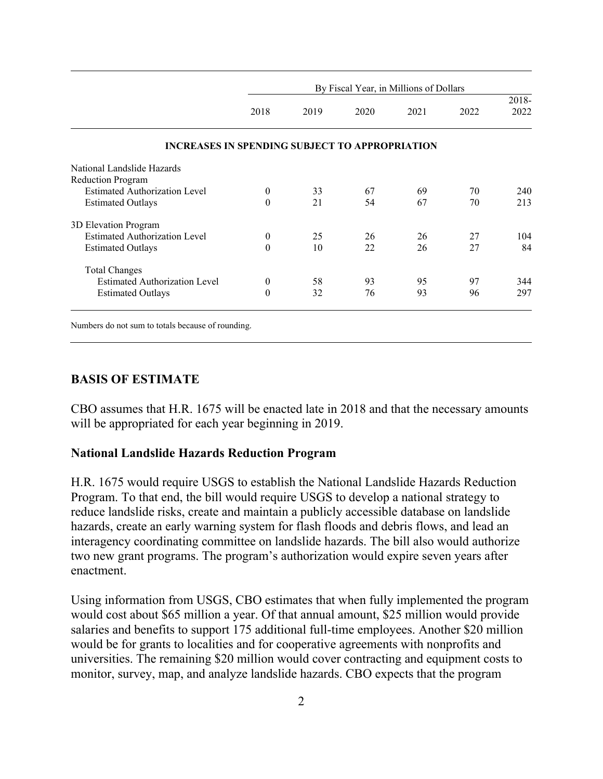|                                                       |          | By Fiscal Year, in Millions of Dollars |      |      |      |          |  |
|-------------------------------------------------------|----------|----------------------------------------|------|------|------|----------|--|
|                                                       |          |                                        |      |      |      | $2018 -$ |  |
|                                                       | 2018     | 2019                                   | 2020 | 2021 | 2022 | 2022     |  |
| <b>INCREASES IN SPENDING SUBJECT TO APPROPRIATION</b> |          |                                        |      |      |      |          |  |
| National Landslide Hazards                            |          |                                        |      |      |      |          |  |
| <b>Reduction Program</b>                              |          |                                        |      |      |      |          |  |
| <b>Estimated Authorization Level</b>                  | $\theta$ | 33                                     | 67   | 69   | 70   | 240      |  |
| <b>Estimated Outlays</b>                              | $\theta$ | 21                                     | 54   | 67   | 70   | 213      |  |
| 3D Elevation Program                                  |          |                                        |      |      |      |          |  |
| <b>Estimated Authorization Level</b>                  | $\theta$ | 25                                     | 26   | 26   | 27   | 104      |  |
| <b>Estimated Outlays</b>                              | $\theta$ | 10                                     | 22   | 26   | 27   | 84       |  |
| <b>Total Changes</b>                                  |          |                                        |      |      |      |          |  |
| <b>Estimated Authorization Level</b>                  | $\theta$ | 58                                     | 93   | 95   | 97   | 344      |  |
| <b>Estimated Outlays</b>                              | $\Omega$ | 32                                     | 76   | 93   | 96   | 297      |  |

Numbers do not sum to totals because of rounding.

#### **BASIS OF ESTIMATE**

CBO assumes that H.R. 1675 will be enacted late in 2018 and that the necessary amounts will be appropriated for each year beginning in 2019.

#### **National Landslide Hazards Reduction Program**

H.R. 1675 would require USGS to establish the National Landslide Hazards Reduction Program. To that end, the bill would require USGS to develop a national strategy to reduce landslide risks, create and maintain a publicly accessible database on landslide hazards, create an early warning system for flash floods and debris flows, and lead an interagency coordinating committee on landslide hazards. The bill also would authorize two new grant programs. The program's authorization would expire seven years after enactment.

Using information from USGS, CBO estimates that when fully implemented the program would cost about \$65 million a year. Of that annual amount, \$25 million would provide salaries and benefits to support 175 additional full-time employees. Another \$20 million would be for grants to localities and for cooperative agreements with nonprofits and universities. The remaining \$20 million would cover contracting and equipment costs to monitor, survey, map, and analyze landslide hazards. CBO expects that the program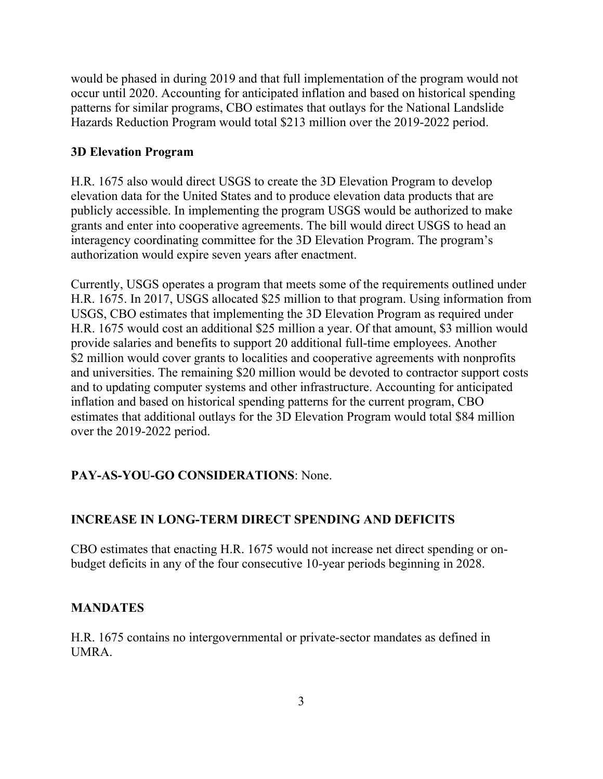would be phased in during 2019 and that full implementation of the program would not occur until 2020. Accounting for anticipated inflation and based on historical spending patterns for similar programs, CBO estimates that outlays for the National Landslide Hazards Reduction Program would total \$213 million over the 2019-2022 period.

#### **3D Elevation Program**

H.R. 1675 also would direct USGS to create the 3D Elevation Program to develop elevation data for the United States and to produce elevation data products that are publicly accessible. In implementing the program USGS would be authorized to make grants and enter into cooperative agreements. The bill would direct USGS to head an interagency coordinating committee for the 3D Elevation Program. The program's authorization would expire seven years after enactment.

Currently, USGS operates a program that meets some of the requirements outlined under H.R. 1675. In 2017, USGS allocated \$25 million to that program. Using information from USGS, CBO estimates that implementing the 3D Elevation Program as required under H.R. 1675 would cost an additional \$25 million a year. Of that amount, \$3 million would provide salaries and benefits to support 20 additional full-time employees. Another \$2 million would cover grants to localities and cooperative agreements with nonprofits and universities. The remaining \$20 million would be devoted to contractor support costs and to updating computer systems and other infrastructure. Accounting for anticipated inflation and based on historical spending patterns for the current program, CBO estimates that additional outlays for the 3D Elevation Program would total \$84 million over the 2019-2022 period.

# **PAY-AS-YOU-GO CONSIDERATIONS**: None.

# **INCREASE IN LONG-TERM DIRECT SPENDING AND DEFICITS**

CBO estimates that enacting H.R. 1675 would not increase net direct spending or onbudget deficits in any of the four consecutive 10-year periods beginning in 2028.

#### **MANDATES**

H.R. 1675 contains no intergovernmental or private-sector mandates as defined in UMRA.